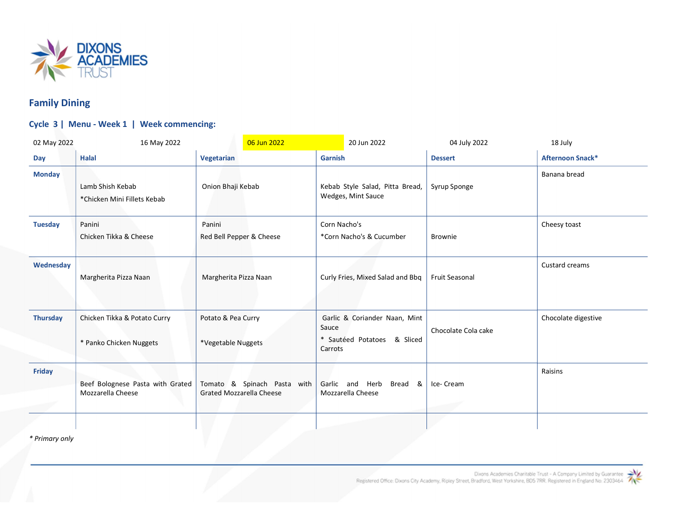

## Family Dining

## Cycle 3 | Menu - Week 1 | Week commencing:

| 02 May 2022     | 16 May 2022                                             |                                                                | 06 Jun 2022 |                                                       | 20 Jun 2022                                                  | 04 July 2022          | 18 July                 |
|-----------------|---------------------------------------------------------|----------------------------------------------------------------|-------------|-------------------------------------------------------|--------------------------------------------------------------|-----------------------|-------------------------|
| Day             | <b>Halal</b>                                            | Vegetarian                                                     |             | <b>Garnish</b>                                        |                                                              | <b>Dessert</b>        | <b>Afternoon Snack*</b> |
| <b>Monday</b>   | Lamb Shish Kebab<br>*Chicken Mini Fillets Kebab         | Onion Bhaji Kebab                                              |             | Kebab Style Salad, Pitta Bread,<br>Wedges, Mint Sauce |                                                              | Syrup Sponge          | Banana bread            |
| <b>Tuesday</b>  | Panini<br>Chicken Tikka & Cheese                        | Panini<br>Red Bell Pepper & Cheese                             |             | Corn Nacho's<br>*Corn Nacho's & Cucumber              |                                                              | <b>Brownie</b>        | Cheesy toast            |
| Wednesday       | Margherita Pizza Naan                                   | Margherita Pizza Naan                                          |             |                                                       | Curly Fries, Mixed Salad and Bbq                             | <b>Fruit Seasonal</b> | Custard creams          |
| <b>Thursday</b> | Chicken Tikka & Potato Curry<br>* Panko Chicken Nuggets | Potato & Pea Curry<br>*Vegetable Nuggets                       |             | Sauce<br>Carrots                                      | Garlic & Coriander Naan, Mint<br>* Sautéed Potatoes & Sliced | Chocolate Cola cake   | Chocolate digestive     |
| <b>Friday</b>   | Beef Bolognese Pasta with Grated<br>Mozzarella Cheese   | Tomato & Spinach Pasta with<br><b>Grated Mozzarella Cheese</b> |             | Garlic and                                            | Herb<br>Bread<br>&<br>Mozzarella Cheese                      | Ice-Cream             | Raisins                 |
|                 |                                                         |                                                                |             |                                                       |                                                              |                       |                         |

\* Primary only